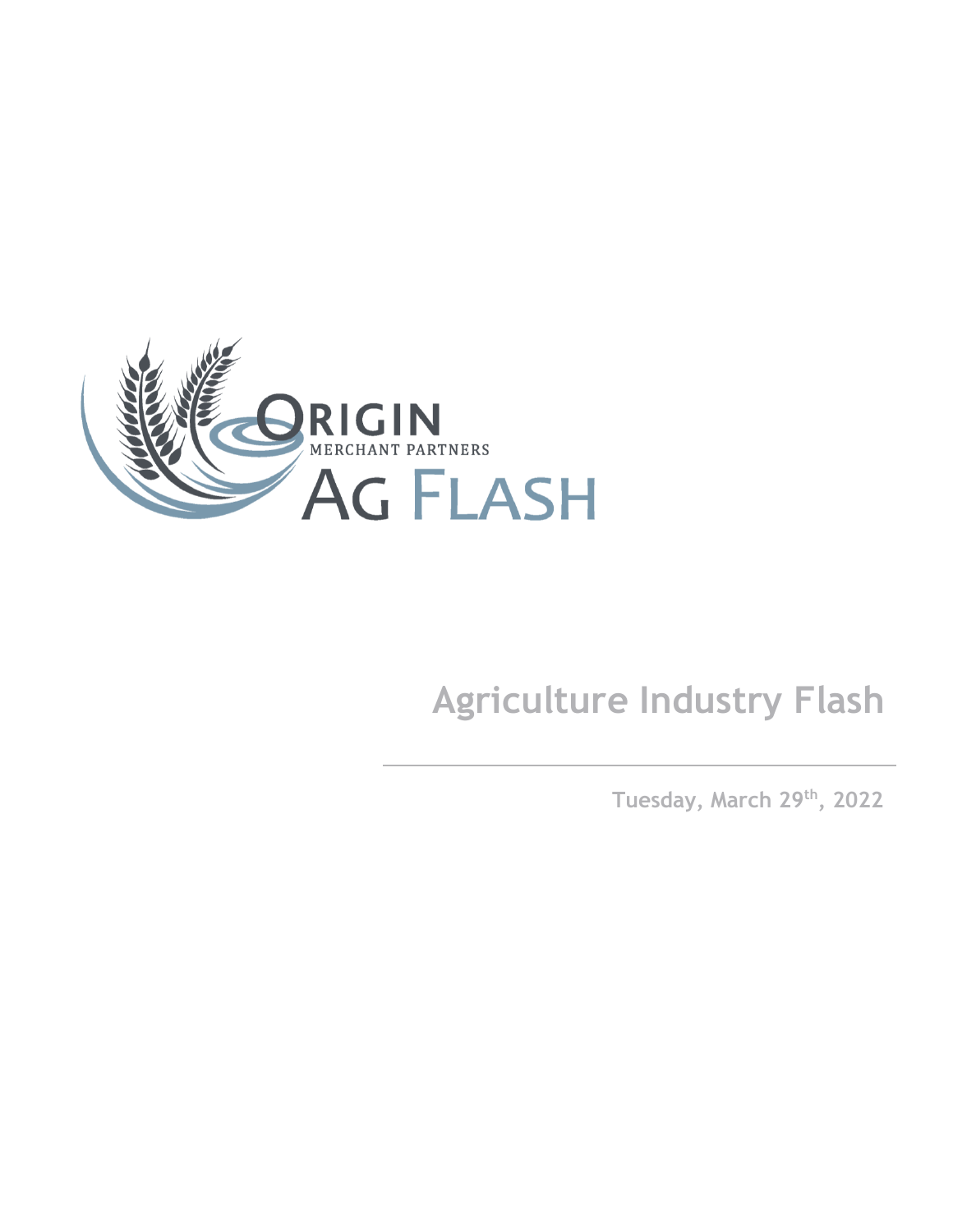

# **Agriculture Industry Flash**

**Tuesday, March 29th , 2022**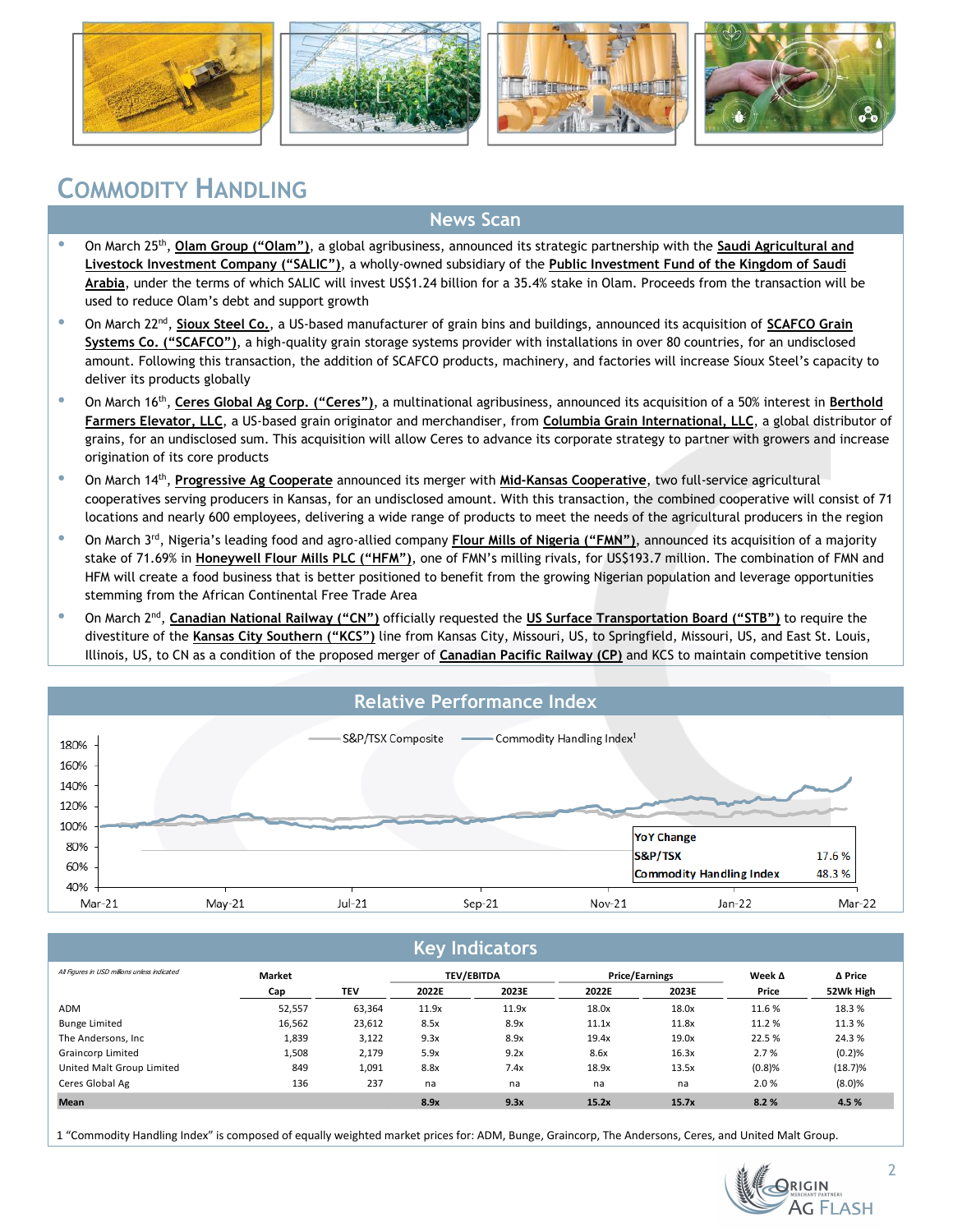







### **COMMODITY HANDLING**

#### **News Scan**

- **•** On March 25<sup>th</sup>, **Olam Group ("Olam")**, a global agribusiness, announced its strategic partnership with the **Saudi Agricultural and Livestock Investment Company ("SALIC")**, a wholly-owned subsidiary of the **Public Investment Fund of the Kingdom of Saudi Arabia**, under the terms of which SALIC will invest US\$1.24 billion for a 35.4% stake in Olam. Proceeds from the transaction will be used to reduce Olam's debt and support growth
- **•** On March 22<sup>nd</sup>, **Sioux Steel Co.**, a US-based manufacturer of grain bins and buildings, announced its acquisition of **SCAFCO Grain Systems Co. ("SCAFCO")**, a high-quality grain storage systems provider with installations in over 80 countries, for an undisclosed amount. Following this transaction, the addition of SCAFCO products, machinery, and factories will increase Sioux Steel's capacity to deliver its products globally
- **•** On March 16<sup>th</sup>, Ceres Global Ag Corp. ("Ceres"), a multinational agribusiness, announced its acquisition of a 50% interest in Berthold **Farmers Elevator, LLC**, a US-based grain originator and merchandiser, from **Columbia Grain International, LLC**, a global distributor of grains, for an undisclosed sum. This acquisition will allow Ceres to advance its corporate strategy to partner with growers and increase origination of its core products
- **•** On March 14<sup>th</sup>, **Progressive Ag Cooperate** announced its merger with **Mid-Kansas Cooperative**, two full-service agricultural cooperatives serving producers in Kansas, for an undisclosed amount. With this transaction, the combined cooperative will consist of 71 locations and nearly 600 employees, delivering a wide range of products to meet the needs of the agricultural producers in the region
- On March 3rd, Nigeria's leading food and agro-allied company **Flour Mills of Nigeria ("FMN")**, announced its acquisition of a majority stake of 71.69% in **Honeywell Flour Mills PLC ("HFM")**, one of FMN's milling rivals, for US\$193.7 million. The combination of FMN and HFM will create a food business that is better positioned to benefit from the growing Nigerian population and leverage opportunities stemming from the African Continental Free Trade Area
- **•** On March 2<sup>nd</sup>, Canadian National Railway ("CN") officially requested the US Surface Transportation Board ("STB") to require the divestiture of the **Kansas City Southern ("KCS")** line from Kansas City, Missouri, US, to Springfield, Missouri, US, and East St. Louis, Illinois, US, to CN as a condition of the proposed merger of **Canadian Pacific Railway (CP)** and KCS to maintain competitive tension

## **Relative Performance Index**

| 180%  |  | S&P/TSX Composite | Commodity Handling Index <sup>1</sup> |                                 |       |
|-------|--|-------------------|---------------------------------------|---------------------------------|-------|
| 160%  |  |                   |                                       |                                 |       |
| 140%  |  |                   |                                       |                                 |       |
| 120%  |  |                   |                                       |                                 |       |
| 100%  |  |                   |                                       |                                 |       |
|       |  |                   |                                       |                                 |       |
| 80% - |  |                   |                                       | <b>YoY Change</b>               |       |
| 60% - |  |                   |                                       | S&P/TSX                         | 17.6% |
| 40%   |  |                   |                                       | <b>Commodity Handling Index</b> | 48.3% |

#### **Key Indicators**

| All Figures in USD millions unless indicated | Market |            | <b>TEV/EBITDA</b> |       | <b>Price/Earnings</b> |       | Week $\Delta$ | Δ Price    |
|----------------------------------------------|--------|------------|-------------------|-------|-----------------------|-------|---------------|------------|
|                                              | Cap    | <b>TEV</b> | 2022E             | 2023E | 2022E                 | 2023E | Price         | 52Wk High  |
| ADM                                          | 52,557 | 63,364     | 11.9x             | 11.9x | 18.0x                 | 18.0x | 11.6 %        | 18.3 %     |
| <b>Bunge Limited</b>                         | 16,562 | 23,612     | 8.5x              | 8.9x  | 11.1x                 | 11.8x | 11.2 %        | 11.3 %     |
| The Andersons, Inc                           | 1,839  | 3,122      | 9.3x              | 8.9x  | 19.4x                 | 19.0x | 22.5 %        | 24.3 %     |
| Graincorp Limited                            | 1,508  | 2,179      | 5.9x              | 9.2x  | 8.6x                  | 16.3x | 2.7%          | (0.2)%     |
| United Malt Group Limited                    | 849    | 1,091      | 8.8x              | 7.4x  | 18.9x                 | 13.5x | (0.8)%        | $(18.7)\%$ |
| Ceres Global Ag                              | 136    | 237        | na                | na    | na                    | na    | 2.0%          | (8.0)%     |
| <b>Mean</b>                                  |        |            | 8.9x              | 9.3x  | 15.2x                 | 15.7x | 8.2%          | 4.5 %      |

1 "Commodity Handling Index" is composed of equally weighted market prices for: ADM, Bunge, Graincorp, The Andersons, Ceres, and United Malt Group.



2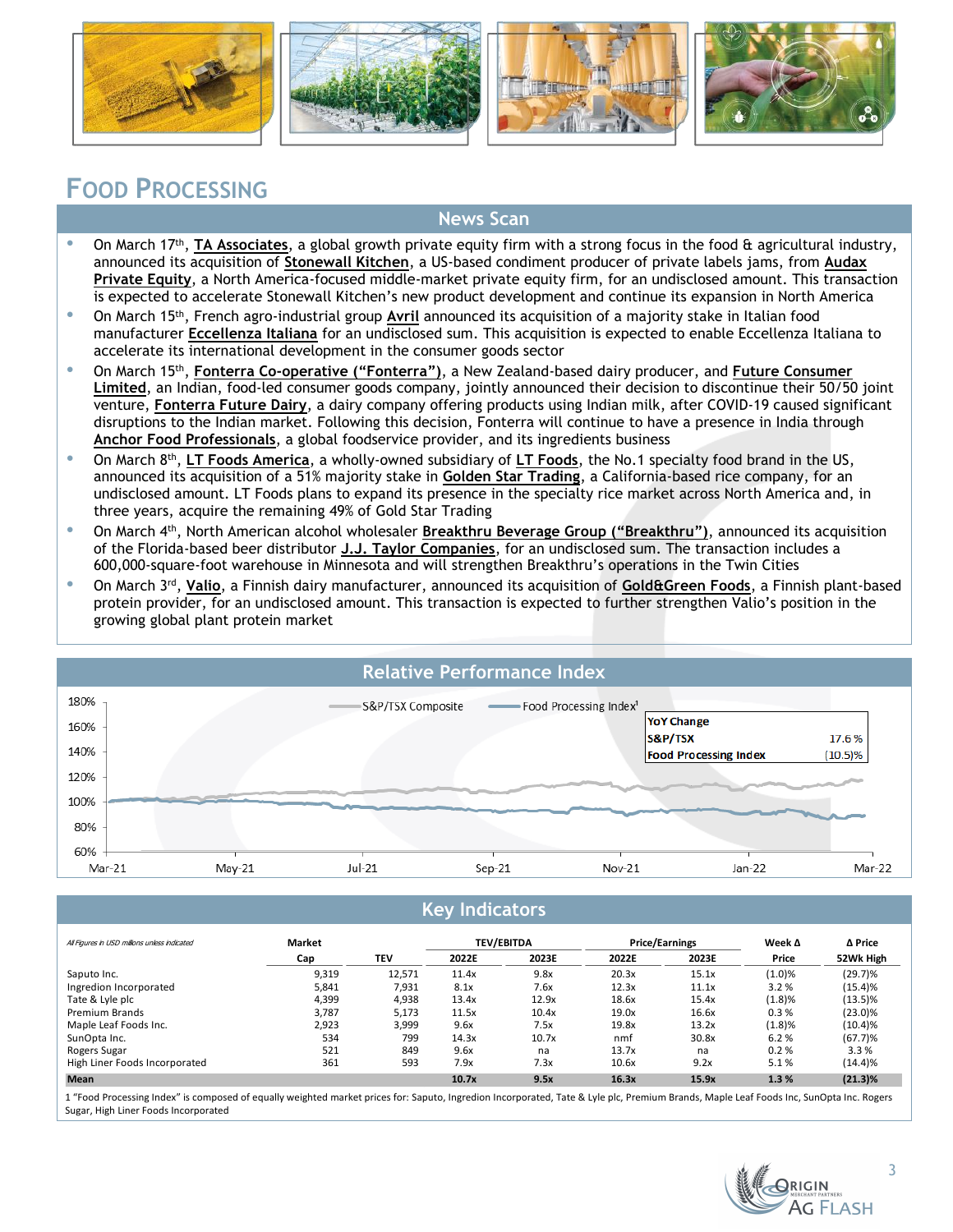







### **FOOD PROCESSING**

#### **News Scan**

- On March 17<sup>th</sup>, **TA Associates**, a global growth private equity firm with a strong focus in the food & agricultural industry, announced its acquisition of **Stonewall Kitchen**, a US-based condiment producer of private labels jams, from **Audax Private Equity**, a North America-focused middle-market private equity firm, for an undisclosed amount. This transaction is expected to accelerate Stonewall Kitchen's new product development and continue its expansion in North America
- On March 15th, French agro-industrial group **Avril** announced its acquisition of a majority stake in Italian food manufacturer **Eccellenza Italiana** for an undisclosed sum. This acquisition is expected to enable Eccellenza Italiana to accelerate its international development in the consumer goods sector
- **<sup>.</sup>** On March 15<sup>th</sup>, **Fonterra Co-operative ("Fonterra")**, a New Zealand-based dairy producer, and **Future Consumer Limited**, an Indian, food-led consumer goods company, jointly announced their decision to discontinue their 50/50 joint venture, **Fonterra Future Dairy**, a dairy company offering products using Indian milk, after COVID-19 caused significant disruptions to the Indian market. Following this decision, Fonterra will continue to have a presence in India through **Anchor Food Professionals**, a global foodservice provider, and its ingredients business
- On March 8<sup>th</sup>, LT Foods America, a wholly-owned subsidiary of LT Foods, the No.1 specialty food brand in the US, announced its acquisition of a 51% majority stake in **Golden Star Trading**, a California-based rice company, for an undisclosed amount. LT Foods plans to expand its presence in the specialty rice market across North America and, in three years, acquire the remaining 49% of Gold Star Trading
- On March 4th, North American alcohol wholesaler **Breakthru Beverage Group ("Breakthru")**, announced its acquisition of the Florida-based beer distributor **J.J. Taylor Companies**, for an undisclosed sum. The transaction includes a 600,000-square-foot warehouse in Minnesota and will strengthen Breakthru's operations in the Twin Cities
- On March 3rd , **Valio**, a Finnish dairy manufacturer, announced its acquisition of **Gold&Green Foods**, a Finnish plant-based protein provider, for an undisclosed amount. This transaction is expected to further strengthen Valio's position in the growing global plant protein market



#### **Key Indicators**

| All Figures in USD millions unless indicated | Market |            | <b>TEV/EBITDA</b> |       | <b>Price/Earnings</b> |       | Week $\Delta$ | Δ Price    |
|----------------------------------------------|--------|------------|-------------------|-------|-----------------------|-------|---------------|------------|
|                                              | Cap    | <b>TEV</b> | 2022E             | 2023E | 2022E                 | 2023E | Price         | 52Wk High  |
| Saputo Inc.                                  | 9,319  | 12.571     | 11.4x             | 9.8x  | 20.3x                 | 15.1x | (1.0)%        | $(29.7)\%$ |
| Ingredion Incorporated                       | 5,841  | 7,931      | 8.1x              | 7.6x  | 12.3x                 | 11.1x | 3.2%          | (15.4)%    |
| Tate & Lyle plc                              | 4.399  | 4.938      | 13.4x             | 12.9x | 18.6x                 | 15.4x | (1.8)%        | $(13.5)\%$ |
| <b>Premium Brands</b>                        | 3.787  | 5.173      | 11.5x             | 10.4x | 19.0x                 | 16.6x | 0.3%          | $(23.0)\%$ |
| Maple Leaf Foods Inc.                        | 2.923  | 3.999      | 9.6x              | 7.5x  | 19.8x                 | 13.2x | (1.8)%        | $(10.4)\%$ |
| SunOpta Inc.                                 | 534    | 799        | 14.3x             | 10.7x | nmf                   | 30.8x | 6.2%          | $(67.7)$ % |
| Rogers Sugar                                 | 521    | 849        | 9.6x              | na    | 13.7x                 | na    | 0.2%          | 3.3%       |
| High Liner Foods Incorporated                | 361    | 593        | 7.9x              | 7.3x  | 10.6x                 | 9.2x  | 5.1%          | (14.4)%    |
| <b>Mean</b>                                  |        |            | 10.7x             | 9.5x  | 16.3x                 | 15.9x | 1.3%          | $(21.3)\%$ |

1 "Food Processing Index" is composed of equally weighted market prices for: Saputo, Ingredion Incorporated, Tate & Lyle plc, Premium Brands, Maple Leaf Foods Inc, SunOpta Inc. Rogers Sugar, High Liner Foods Incorporated

**G FLASH**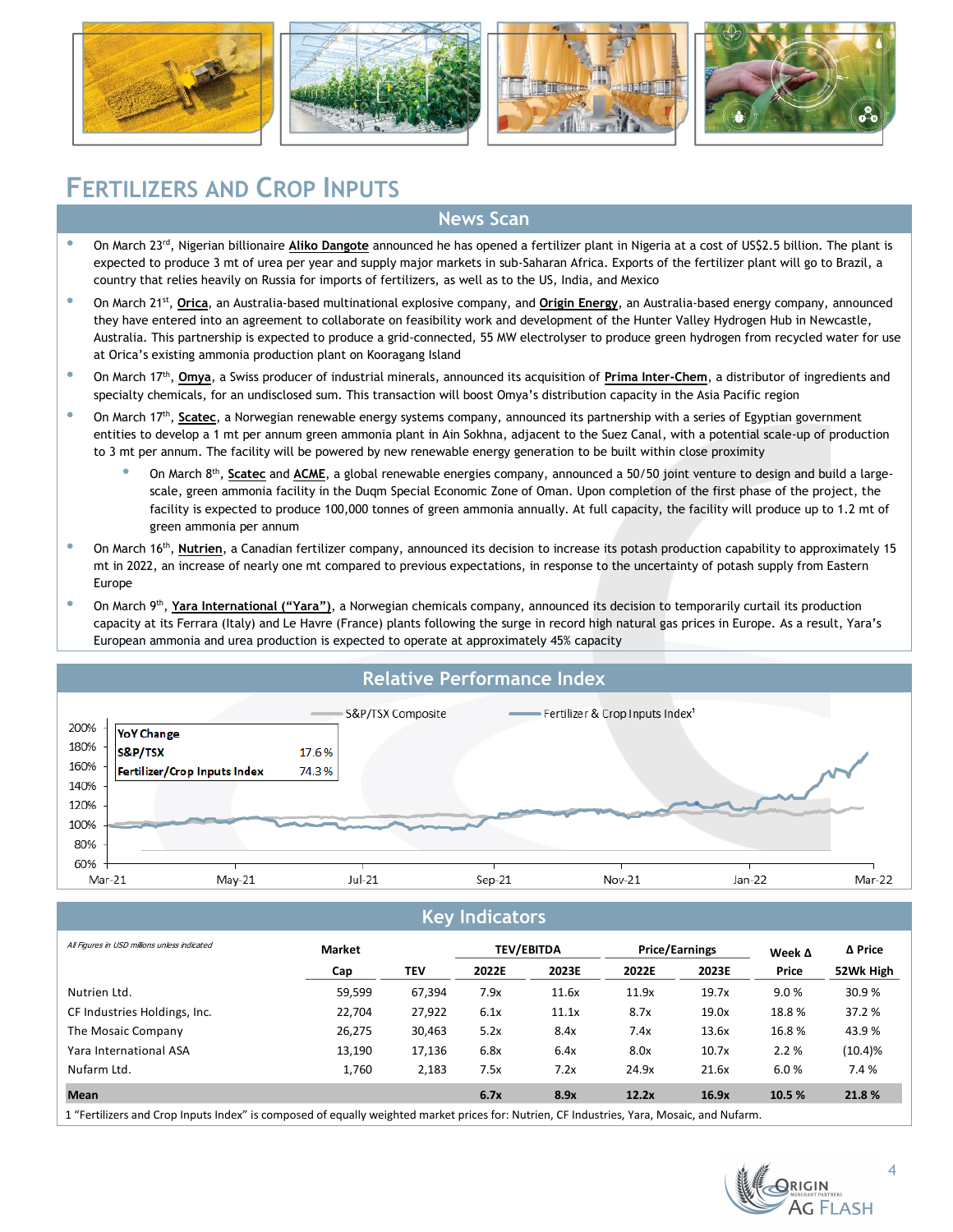







### **FERTILIZERS AND CROP INPUTS**

#### **News Scan**

- On March 23rd, Nigerian billionaire **Aliko Dangote** announced he has opened a fertilizer plant in Nigeria at a cost of US\$2.5 billion. The plant is expected to produce 3 mt of urea per year and supply major markets in sub-Saharan Africa. Exports of the fertilizer plant will go to Brazil, a country that relies heavily on Russia for imports of fertilizers, as well as to the US, India, and Mexico
- <sup>•</sup> On March 21<sup>st</sup>, **Orica**, an Australia-based multinational explosive company, and **Origin Energy**, an Australia-based energy company, announced they have entered into an agreement to collaborate on feasibility work and development of the Hunter Valley Hydrogen Hub in Newcastle, Australia. This partnership is expected to produce a grid-connected, 55 MW electrolyser to produce green hydrogen from recycled water for use at Orica's existing ammonia production plant on Kooragang Island
- **•** On March 17<sup>th</sup>, **Omya**, a Swiss producer of industrial minerals, announced its acquisition of **Prima Inter-Chem**, a distributor of ingredients and specialty chemicals, for an undisclosed sum. This transaction will boost Omya's distribution capacity in the Asia Pacific region
- **•** On March 17<sup>th</sup>, **Scatec**, a Norwegian renewable energy systems company, announced its partnership with a series of Egyptian government entities to develop a 1 mt per annum green ammonia plant in Ain Sokhna, adjacent to the Suez Canal, with a potential scale-up of production to 3 mt per annum. The facility will be powered by new renewable energy generation to be built within close proximity
	- <sup>•</sup> On March 8<sup>th</sup>, **Scatec** and **ACME**, a global renewable energies company, announced a 50/50 joint venture to design and build a largescale, green ammonia facility in the Duqm Special Economic Zone of Oman. Upon completion of the first phase of the project, the facility is expected to produce 100,000 tonnes of green ammonia annually. At full capacity, the facility will produce up to 1.2 mt of green ammonia per annum
- <sup>.</sup> On March 16<sup>th</sup>, Nutrien, a Canadian fertilizer company, announced its decision to increase its potash production capability to approximately 15 mt in 2022, an increase of nearly one mt compared to previous expectations, in response to the uncertainty of potash supply from Eastern Europe
- **•** On March 9<sup>th</sup>, Yara International ("Yara"), a Norwegian chemicals company, announced its decision to temporarily curtail its production capacity at its Ferrara (Italy) and Le Havre (France) plants following the surge in record high natural gas prices in Europe. As a result, Yara's European ammonia and urea production is expected to operate at approximately 45% capacity



#### **Key Indicators**

| All Figures in USD millions unless indicated                                                                                               | Market |        | <b>TEV/EBITDA</b> |       | <b>Price/Earnings</b> |       | Week $\Delta$ | ∆ Price    |
|--------------------------------------------------------------------------------------------------------------------------------------------|--------|--------|-------------------|-------|-----------------------|-------|---------------|------------|
|                                                                                                                                            | Cap    | TEV    | 2022E             | 2023E | 2022E                 | 2023E | Price         | 52Wk High  |
| Nutrien Ltd.                                                                                                                               | 59,599 | 67,394 | 7.9x              | 11.6x | 11.9x                 | 19.7x | 9.0%          | 30.9 %     |
| CF Industries Holdings, Inc.                                                                                                               | 22,704 | 27,922 | 6.1x              | 11.1x | 8.7x                  | 19.0x | 18.8%         | 37.2 %     |
| The Mosaic Company                                                                                                                         | 26,275 | 30,463 | 5.2x              | 8.4x  | 7.4x                  | 13.6x | 16.8%         | 43.9%      |
| Yara International ASA                                                                                                                     | 13,190 | 17,136 | 6.8x              | 6.4x  | 8.0x                  | 10.7x | 2.2%          | $(10.4)\%$ |
| Nufarm Ltd.                                                                                                                                | 1.760  | 2,183  | 7.5x              | 7.2x  | 24.9x                 | 21.6x | 6.0%          | 7.4 %      |
| <b>Mean</b>                                                                                                                                |        |        | 6.7x              | 8.9x  | 12.2x                 | 16.9x | 10.5 %        | 21.8%      |
| 1 "Fertilizers and Crop Inputs Index" is composed of equally weighted market prices for: Nutrien, CF Industries, Yara, Mosaic, and Nufarm. |        |        |                   |       |                       |       |               |            |

**G FLASH** 

4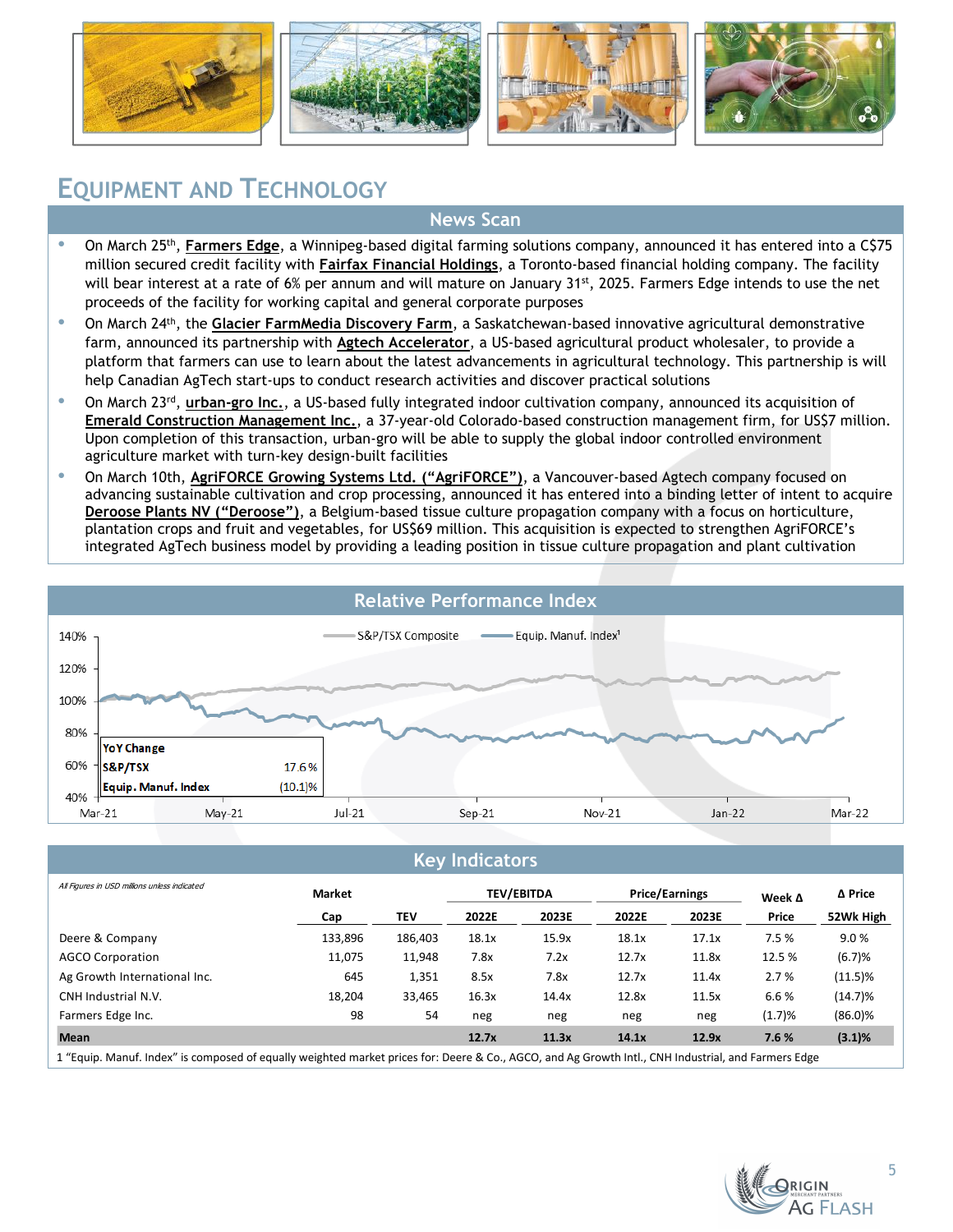







### **EQUIPMENT AND TECHNOLOGY**

#### **News Scan**

- <sup>.</sup> On March 25<sup>th</sup>, **Farmers Edge**, a Winnipeg-based digital farming solutions company, announced it has entered into a C\$75 million secured credit facility with **Fairfax Financial Holdings**, a Toronto-based financial holding company. The facility will bear interest at a rate of 6% per annum and will mature on January 31<sup>st</sup>, 2025. Farmers Edge intends to use the net proceeds of the facility for working capital and general corporate purposes
- On March 24th, the **Glacier FarmMedia Discovery Farm**, a Saskatchewan-based innovative agricultural demonstrative farm, announced its partnership with **Agtech Accelerator**, a US-based agricultural product wholesaler, to provide a platform that farmers can use to learn about the latest advancements in agricultural technology. This partnership is will help Canadian AgTech start-ups to conduct research activities and discover practical solutions
- **•** On March 23<sup>rd</sup>, urban-gro Inc., a US-based fully integrated indoor cultivation company, announced its acquisition of **Emerald Construction Management Inc.**, a 37-year-old Colorado-based construction management firm, for US\$7 million. Upon completion of this transaction, urban-gro will be able to supply the global indoor controlled environment agriculture market with turn-key design-built facilities
- On March 10th, **AgriFORCE Growing Systems Ltd. ("AgriFORCE")**, a Vancouver-based Agtech company focused on advancing sustainable cultivation and crop processing, announced it has entered into a binding letter of intent to acquire **Deroose Plants NV ("Deroose")**, a Belgium-based tissue culture propagation company with a focus on horticulture, plantation crops and fruit and vegetables, for US\$69 million. This acquisition is expected to strengthen AgriFORCE's integrated AgTech business model by providing a leading position in tissue culture propagation and plant cultivation



|  | <b>Key Indicators</b> |
|--|-----------------------|
|  |                       |

| Cap     | <b>TEV</b> |       |       |       |       | Week $\Delta$ |            |
|---------|------------|-------|-------|-------|-------|---------------|------------|
|         |            | 2022E | 2023E | 2022E | 2023E | Price         | 52Wk High  |
| 133,896 | 186,403    | 18.1x | 15.9x | 18.1x | 17.1x | 7.5 %         | 9.0%       |
| 11,075  | 11,948     | 7.8x  | 7.2x  | 12.7x | 11.8x | 12.5 %        | (6.7)%     |
| 645     | 1,351      | 8.5x  | 7.8x  | 12.7x | 11.4x | 2.7%          | $(11.5)\%$ |
| 18,204  | 33,465     | 16.3x | 14.4x | 12.8x | 11.5x | 6.6%          | $(14.7)\%$ |
| 98      | 54         | neg   | neg   | neg   | neg   | (1.7)%        | $(86.0)\%$ |
|         |            | 12.7x | 11.3x | 14.1x | 12.9x | 7.6 %         | $(3.1)\%$  |
|         |            |       |       |       |       |               |            |

1 "Equip. Manuf. Index" is composed of equally weighted market prices for: Deere & Co., AGCO, and Ag Growth Intl., CNH Industrial, and Farmers Edge

**G FLASH**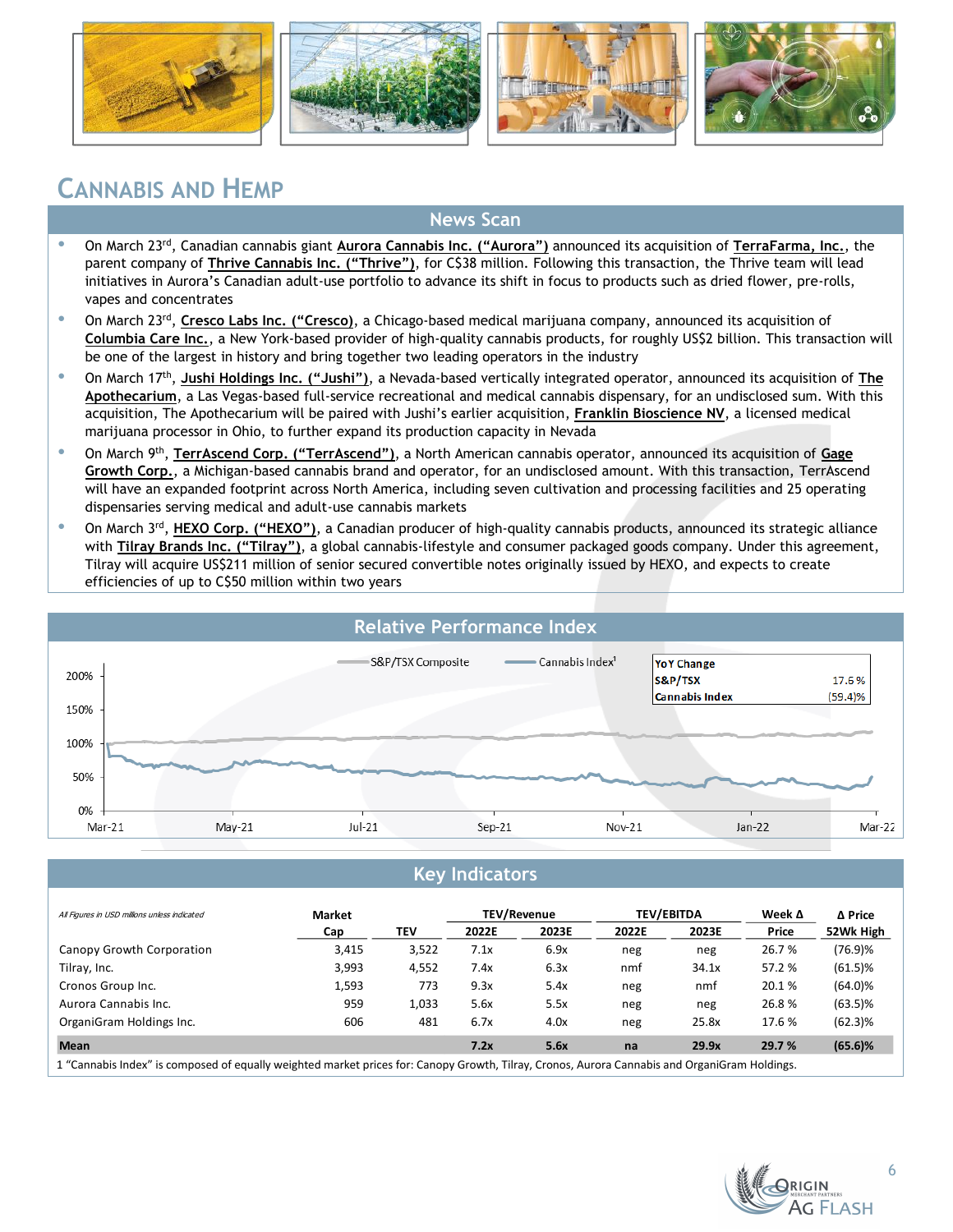







### **CANNABIS AND HEMP**

#### **News Scan**

- On March 23rd, Canadian cannabis giant **Aurora Cannabis Inc. ("Aurora")** announced its acquisition of **TerraFarma, Inc.**, the parent company of **Thrive Cannabis Inc. ("Thrive")**, for C\$38 million. Following this transaction, the Thrive team will lead initiatives in Aurora's Canadian adult-use portfolio to advance its shift in focus to products such as dried flower, pre-rolls, vapes and concentrates
- On March 23rd , **Cresco Labs Inc. ("Cresco)**, a Chicago-based medical marijuana company, announced its acquisition of **Columbia Care Inc.**, a New York-based provider of high-quality cannabis products, for roughly US\$2 billion. This transaction will be one of the largest in history and bring together two leading operators in the industry
- On March 17th , **Jushi Holdings Inc. ("Jushi")**, a Nevada-based vertically integrated operator, announced its acquisition of **The Apothecarium**, a Las Vegas-based full-service recreational and medical cannabis dispensary, for an undisclosed sum. With this acquisition, The Apothecarium will be paired with Jushi's earlier acquisition, **Franklin Bioscience NV**, a licensed medical marijuana processor in Ohio, to further expand its production capacity in Nevada
- On March 9th , **TerrAscend Corp. ("TerrAscend")**, a North American cannabis operator, announced its acquisition of **Gage**  Growth Corp., a Michigan-based cannabis brand and operator, for an undisclosed amount. With this transaction, TerrAscend will have an expanded footprint across North America, including seven cultivation and processing facilities and 25 operating dispensaries serving medical and adult-use cannabis markets
- On March 3<sup>rd</sup>, HEXO Corp. ("HEXO"), a Canadian producer of high-quality cannabis products, announced its strategic alliance with **Tilray Brands Inc. ("Tilray")**, a global cannabis-lifestyle and consumer packaged goods company. Under this agreement, Tilray will acquire US\$211 million of senior secured convertible notes originally issued by HEXO, and expects to create efficiencies of up to C\$50 million within two years



#### **Key Indicators**

| All Figures in USD millions unless indicated | <b>Market</b> |       |       | TEV/Revenue |       | <b>TEV/EBITDA</b> | Week $\Delta$ | Δ Price    |
|----------------------------------------------|---------------|-------|-------|-------------|-------|-------------------|---------------|------------|
|                                              | Cap           | TEV   | 2022E | 2023E       | 2022E | 2023E             | Price         | 52Wk High  |
| Canopy Growth Corporation                    | 3,415         | 3,522 | 7.1x  | 6.9x        | neg   | neg               | 26.7%         | (76.9)%    |
| Tilray, Inc.                                 | 3,993         | 4,552 | 7.4x  | 6.3x        | nmf   | 34.1x             | 57.2 %        | $(61.5)\%$ |
| Cronos Group Inc.                            | 1,593         | 773   | 9.3x  | 5.4x        | neg   | nmf               | 20.1%         | $(64.0)\%$ |
| Aurora Cannabis Inc.                         | 959           | 1.033 | 5.6x  | 5.5x        | neg   | neg               | 26.8%         | $(63.5)\%$ |
| OrganiGram Holdings Inc.                     | 606           | 481   | 6.7x  | 4.0x        | neg   | 25.8x             | 17.6 %        | $(62.3)\%$ |
| <b>Mean</b>                                  |               |       | 7.2x  | 5.6x        | na    | 29.9x             | 29.7 %        | $(65.6)$ % |

osed of equally weighted market prices for: Canopy Growth, Tilray, Cronos, Aurora Cannabis and OrganiGram Holdings.

**G FLASH**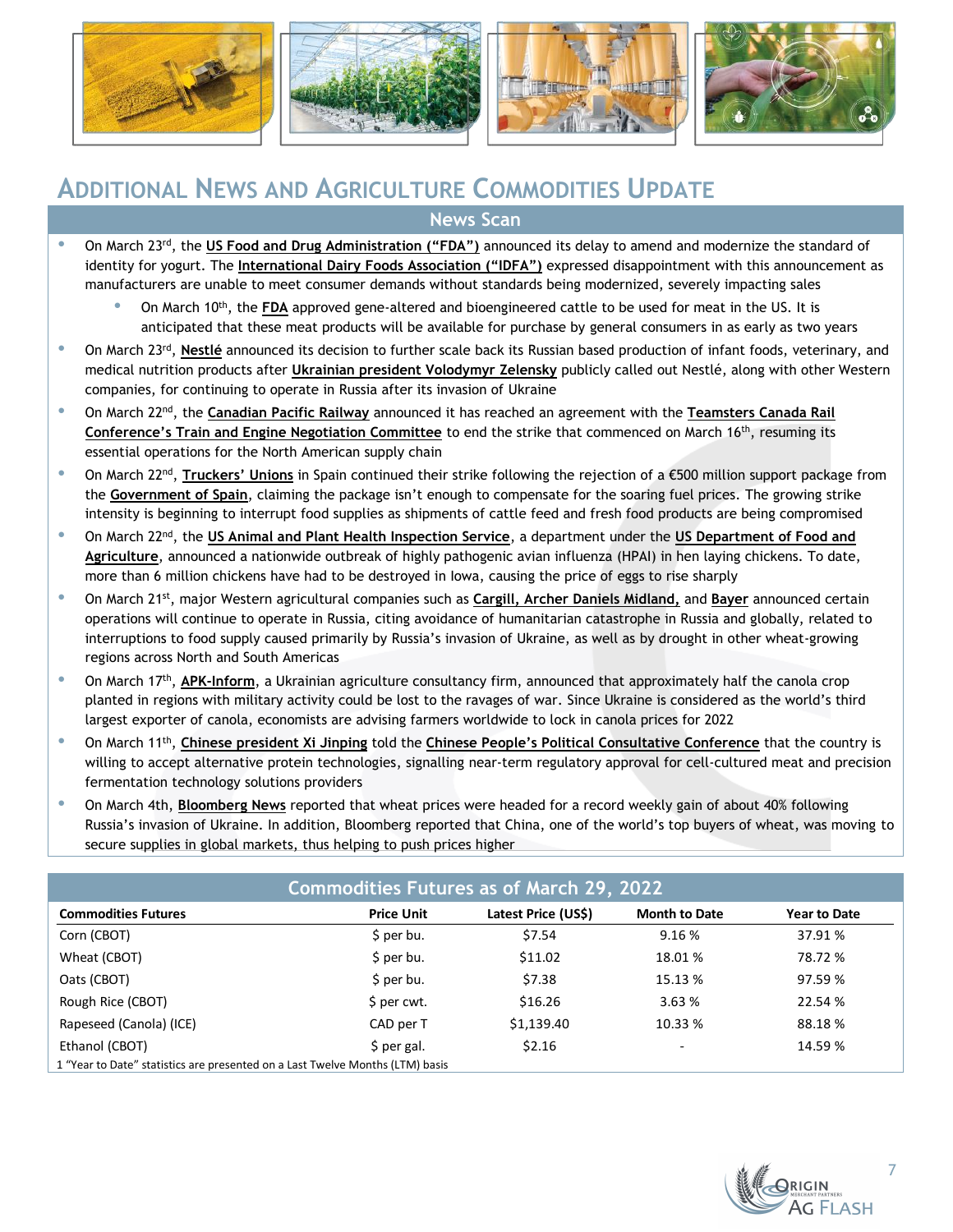







### **ADDITIONAL NEWS AND AGRICULTURE COMMODITIES UPDATE News Scan**

- On March 23<sup>rd</sup>, the US Food and Drug Administration ("FDA") announced its delay to amend and modernize the standard of identity for yogurt. The **International Dairy Foods Association ("IDFA")** expressed disappointment with this announcement as manufacturers are unable to meet consumer demands without standards being modernized, severely impacting sales
	- On March 10th, the **FDA** approved gene-altered and bioengineered cattle to be used for meat in the US. It is anticipated that these meat products will be available for purchase by general consumers in as early as two years
- **•** On March 23<sup>rd</sup>, **Nestlé** announced its decision to further scale back its Russian based production of infant foods, veterinary, and medical nutrition products after **Ukrainian president Volodymyr Zelensky** publicly called out Nestlé, along with other Western companies, for continuing to operate in Russia after its invasion of Ukraine
- On March 22nd, the **Canadian Pacific Railway** announced it has reached an agreement with the **Teamsters Canada Rail Conference's Train and Engine Negotiation Committee** to end the strike that commenced on March 16th, resuming its essential operations for the North American supply chain
- On March 22nd , **Truckers' Unions** in Spain continued their strike following the rejection of a €500 million support package from the **Government of Spain**, claiming the package isn't enough to compensate for the soaring fuel prices. The growing strike intensity is beginning to interrupt food supplies as shipments of cattle feed and fresh food products are being compromised
- On March 22nd, the **US Animal and Plant Health Inspection Service**, a department under the **US Department of Food and Agriculture**, announced a nationwide outbreak of highly pathogenic avian influenza (HPAI) in hen laying chickens. To date, more than 6 million chickens have had to be destroyed in Iowa, causing the price of eggs to rise sharply
- On March 21st, major Western agricultural companies such as **Cargill, Archer Daniels Midland,** and **Bayer** announced certain operations will continue to operate in Russia, citing avoidance of humanitarian catastrophe in Russia and globally, related to interruptions to food supply caused primarily by Russia's invasion of Ukraine, as well as by drought in other wheat-growing regions across North and South Americas
- On March 17<sup>th</sup>, **APK-Inform**, a Ukrainian agriculture consultancy firm, announced that approximately half the canola crop planted in regions with military activity could be lost to the ravages of war. Since Ukraine is considered as the world's third largest exporter of canola, economists are advising farmers worldwide to lock in canola prices for 2022
- **•** On March 11<sup>th</sup>, Chinese president Xi Jinping told the Chinese People's Political Consultative Conference that the country is willing to accept alternative protein technologies, signalling near-term regulatory approval for cell-cultured meat and precision fermentation technology solutions providers
- On March 4th, **Bloomberg News** reported that wheat prices were headed for a record weekly gain of about 40% following Russia's invasion of Ukraine. In addition, Bloomberg reported that China, one of the world's top buyers of wheat, was moving to secure supplies in global markets, thus helping to push prices higher

| <b>Commodities Futures as of March 29, 2022</b>                               |                   |                     |                          |                     |  |  |  |  |  |
|-------------------------------------------------------------------------------|-------------------|---------------------|--------------------------|---------------------|--|--|--|--|--|
| <b>Commodities Futures</b>                                                    | <b>Price Unit</b> | Latest Price (US\$) | <b>Month to Date</b>     | <b>Year to Date</b> |  |  |  |  |  |
| Corn (CBOT)                                                                   | \$ per bu.        | \$7.54              | 9.16%                    | 37.91 %             |  |  |  |  |  |
| Wheat (CBOT)                                                                  | $$$ per bu.       | \$11.02             | 18.01 %                  | 78.72 %             |  |  |  |  |  |
| Oats (CBOT)                                                                   | \$ per bu.        | \$7.38              | 15.13 %                  | 97.59 %             |  |  |  |  |  |
| Rough Rice (CBOT)                                                             | \$ per cwt.       | \$16.26             | 3.63%                    | 22.54 %             |  |  |  |  |  |
| Rapeseed (Canola) (ICE)                                                       | CAD per T         | \$1,139.40          | 10.33 %                  | 88.18%              |  |  |  |  |  |
| Ethanol (CBOT)                                                                | \$ per gal.       | \$2.16              | $\overline{\phantom{0}}$ | 14.59 %             |  |  |  |  |  |
| 1 "Year to Date" statistics are presented on a Last Twelve Months (LTM) basis |                   |                     |                          |                     |  |  |  |  |  |